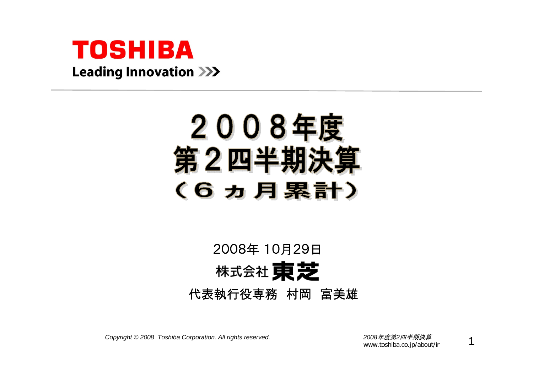

# 2008年度 第2四半期決: (6力月累計)

# 2008年 10月29日株式会社 東芝 代表執行役専務 村岡 富美雄

*Copyright © <sup>2008</sup> Toshiba Corporation. All rights reserved. <sup>2008</sup>*年度第*2*四半期決算

www.toshiba.co.jp/about/ir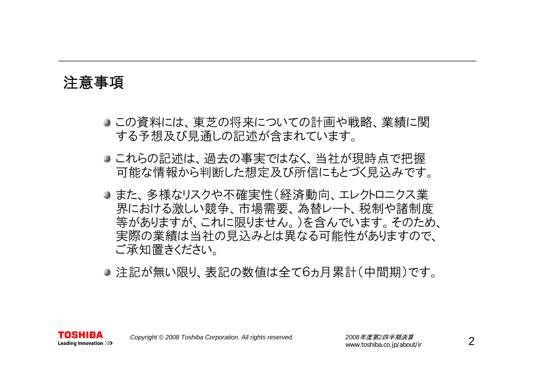### 注意事項

- この資料には、東芝の将来についての計画や戦略、業績に関 する予想及び見通しの記述が含まれています。
- これらの記述は、過去の事実ではなく、当社が現時点で把握 可能な情報から判断した想定及び所信にもとづく見込みです。
- また、多様なリスクや不確実性(経済動向、エレクトロニクス業 界における激しい競争、市場需要、為替レート、税制や諸制度 等がありますが、これに限りません。)を含んでいます。そのため、 実際の業績は当社の見込みとは異なる可能性がありますので、 ご承知置きください。
- 注記が無い限り、表記の数値は全て6ヵ月累計(中間期)です。

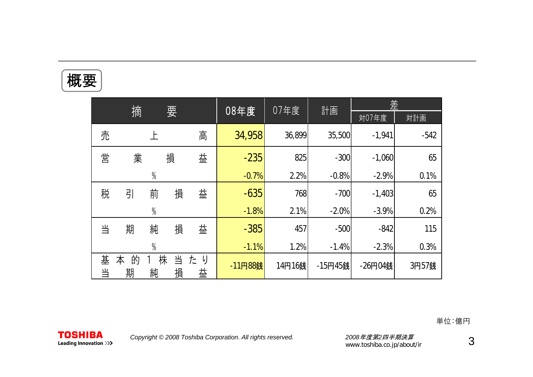| π<br>┻<br>ı.<br><b>الإل</b> ا<br>i. |  |
|-------------------------------------|--|
|                                     |  |

|        |             |               | 07年度   |             | 差       |        |         |          |        |
|--------|-------------|---------------|--------|-------------|---------|--------|---------|----------|--------|
|        | 摘           |               | 要      |             | 08年度    |        | 計画      | 対07年度    | 対計画    |
| 売      |             |               |        | 高           | 34,958  | 36,899 | 35,500  | $-1,941$ | $-542$ |
| 営      | 業           |               | 損      | 益           | $-235$  | 825    | $-300$  | $-1,060$ | 65     |
|        |             | $\frac{0}{0}$ |        |             | $-0.7%$ | 2.2%   | $-0.8%$ | $-2.9%$  | 0.1%   |
| 税      | 引           | 前             | 損      | 益           | $-635$  | 768    | $-700$  | $-1,403$ | 65     |
|        |             | $\frac{0}{0}$ |        |             | $-1.8%$ | 2.1%   | $-2.0%$ | $-3.9%$  | 0.2%   |
| 当      | 期           | 純             | 損      | 益           | $-385$  | 457    | $-500$  | $-842$   | 115    |
|        |             | $\frac{0}{0}$ |        |             | $-1.1%$ | 1.2%   | $-1.4%$ | $-2.3%$  | 0.3%   |
| 基<br>当 | 的<br>本<br>期 | 株<br>純        | 当<br>損 | た<br>り<br>益 | -11円88銭 | 14円16銭 | -15円45銭 | -26円04銭  | 3円57銭  |

単位:億円

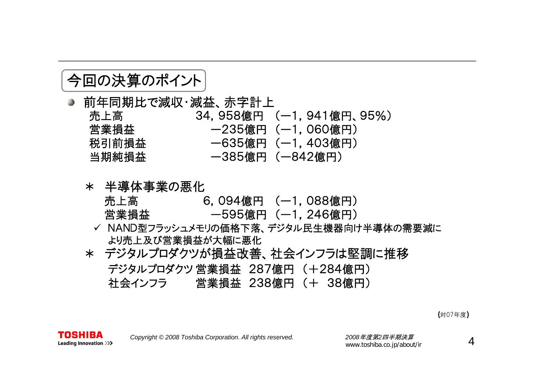### 今回の決算のポイント

- 前年同期比で減収・減益、赤字計上 売上高 34,958億円 (ー1,941億円、95%) 営業損益 → 一235億円 (一1,060億円) 税引前損益 ー635億円 (ー1,403億円) 当期純損益 ー385億円 (ー842億円)
	- \* 半導体事業の悪化
		- 売上高 6,094億円 (ー1,088億円) 営業損益 ー595億円 (ー1,246億円)
		- ✓ NAND型フラッシュメモリの価格下落、デジタル民生機器向け半導体の需要減に より売上及び営業損益が大幅に悪化
	- \* デジタルプロダクツが損益改善、社会インフラは堅調に推移 デジタルプロダクツ営業損益 287億円 (+284億円) 社会インフラ 営業損益 238億円 (+ 38億円)

(対07年度)

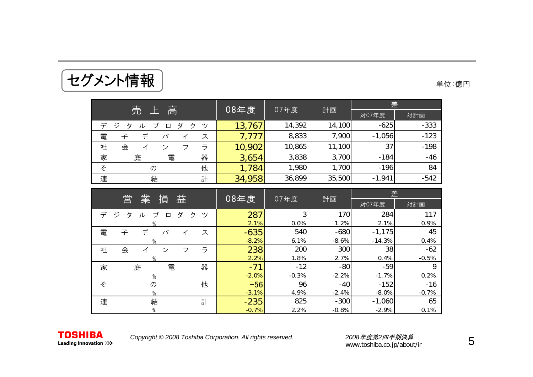|                                      | 08年度   | 07年度   |        | 差        |        |
|--------------------------------------|--------|--------|--------|----------|--------|
| 高<br>売                               |        |        | 計画     | 対07年度    | 対計画    |
| デ<br>ダ<br>ジ<br>ヶ<br>ッ<br>ル<br>タ<br>口 | 13,767 | 14,392 | 14,100 | $-625$   | $-333$ |
| 電<br>子<br>ス                          |        | 8,833  | 7,900  | $-1,056$ | $-123$ |
| 社<br>会<br>ラ<br>$\sim$                | 10,902 | 10,865 | 11,100 | 37       | $-198$ |
| 家<br>庭<br>電<br>器                     | 3,654  | 3,838  | 3,700  | $-184$   | $-46$  |
| 他<br>そ<br>の                          | 1,784  | 1,980  | 1,700  | $-196$   | 84     |
| 連<br>計<br>結                          | 34,958 | 36,899 | 35,500 | $-1,941$ | $-542$ |

| 営                                              | 08年度    |         |         | 差        |         |
|------------------------------------------------|---------|---------|---------|----------|---------|
| 業<br>損<br>益                                    |         | 07年度    | 計画      | 対07年度    | 対計画     |
| デ<br>ジ<br>ダ<br>プ<br>ク<br>タ<br>ツ<br>ル<br>$\Box$ | 287     |         | 170     | 284      | 117     |
|                                                | 2.1%    | 0.0%    | 1.2%    | 2.1%     | 0.9%    |
| 電<br>子<br>デ<br>バ<br>ス<br>イ                     | $-635$  | 540     | $-680$  | $-1,175$ | 45      |
| $\frac{0}{n}$                                  | $-8.2%$ | 6.1%    | $-8.6%$ | $-14.3%$ | 0.4%    |
| 社<br>ラ<br>会<br>ン<br>フ<br>⊿                     | 238     | 200     | 300     | 38       | $-62$   |
|                                                | 2.2%    | 1.8%    | 2.7%    | 0.4%     | $-0.5%$ |
| 家<br>器<br>電<br>庭                               | $-71$   | $-12$   | $-80$   | $-59$    | 9       |
| $\%$                                           | $-2.0%$ | $-0.3%$ | $-2.2%$ | $-1.7%$  | 0.2%    |
| 他<br>そ<br>$\sigma$                             | $-56$   | 96      | $-40$   | $-152$   | $-16$   |
|                                                | $-3.1%$ | 4.9%    | $-2.4%$ | $-8.0\%$ | $-0.7%$ |
| 連<br>結<br>計                                    | $-235$  | 825     | $-300$  | $-1,060$ | 65      |
| %                                              | $-0.7%$ | 2.2%    | $-0.8%$ | $-2.9%$  | 0.1%    |

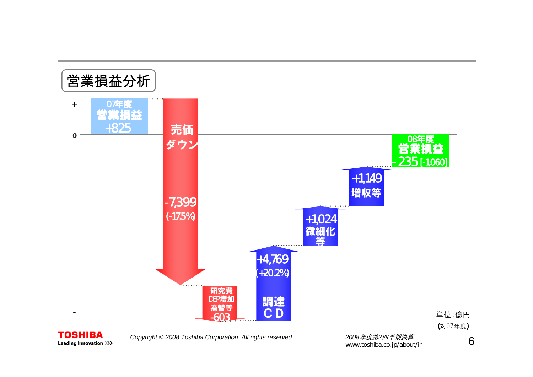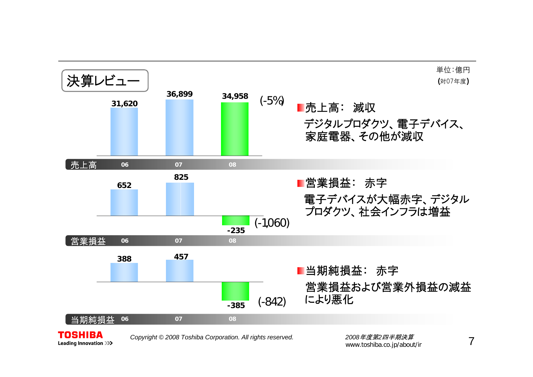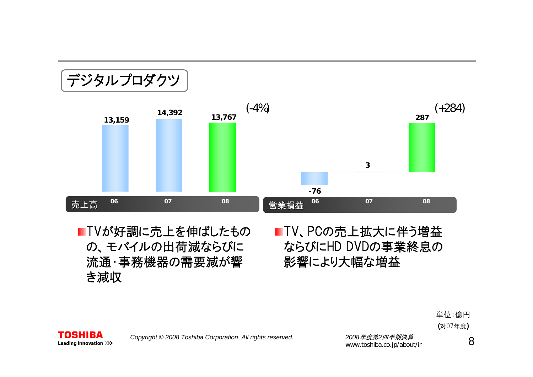

■TVが好調に売上を伸ばしたもの の、モバイルの出荷減ならびに 流通・事務機器の需要減が響 き減収

TV、PCの売上拡大に伴う増益 ならびにHD DVDの事業終息の 影響により大幅な増益





*Copyright © <sup>2008</sup> Toshiba Corporation. All rights reserved. <sup>2008</sup>*年度第*2*四半期決算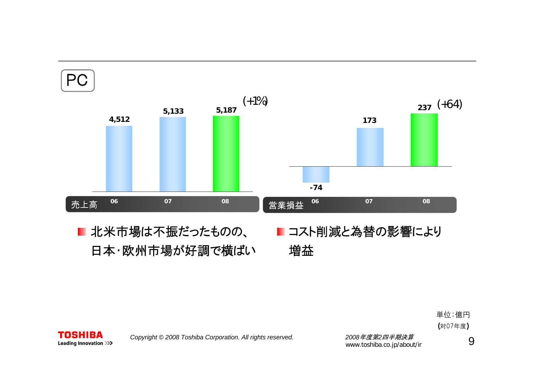



*Copyright © <sup>2008</sup> Toshiba Corporation. All rights reserved. <sup>2008</sup>*年度第*2*四半期決算

**TOSHIBA Leading Innovation >>>** 

www.toshiba.co.jp/about/ir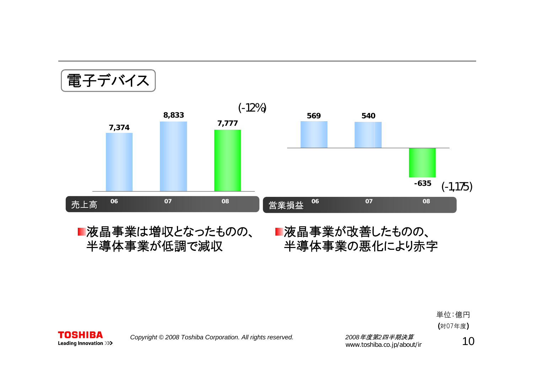\n
$$
\begin{array}{r}\n 374 \\
7,374\n \end{array}
$$
\n

\n\n $\begin{array}{r}\n 8,833 \\
7,777\n \end{array}$ \n

\n\n $\begin{array}{r}\n 569 \\
540\n \end{array}$ \n

\n\n $\begin{array}{r}\n 540 \\
-635 \\
(-1,175)\n \end{array}$ \n

\n\n $\begin{array}{r}\n 6456 \\
\end{array}$ \n

\n\n $\begin{array}{r}\n 0666 \\
\end{array}$ \n

\n\n $\begin{array}{r}\n 0766 \\
\end{array}$ \n

\n\n $\begin{array}{r}\n 08 \\
\end{array}$ \n

\n\n $\begin{array}{r}\n 2777 \\
\end{array}$ \n

\n\n $\begin{array}{r}\n 2696 \\
\end{array}$ \n

\n\n $\begin{array}{r}\n 5446 \\
\end{array}$ \n

\n\n $\begin{array}{r}\n 0766 \\
\end{array}$ \n

\n\n $\begin{array}{r}\n 086 \\
\end{array}$ \n

■液晶事業は増収となったものの、 半導体事業が低調で減収

#### ■液晶事業が改善したものの、 半導体事業の悪化により赤字

単位:億円 (対07年度)



*Copyright © <sup>2008</sup> Toshiba Corporation. All rights reserved. <sup>2008</sup>*年度第*2*四半期決算

2008*年度第2四千<del>期次昇</del> 1*0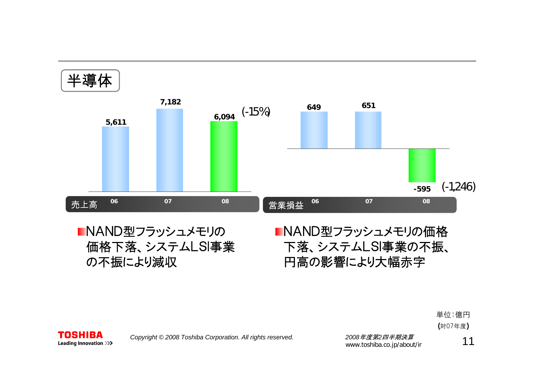

単位:億円 (対07年度)



*Copyright © <sup>2008</sup> Toshiba Corporation. All rights reserved. <sup>2008</sup>*年度第*2*四半期決算

2008年度*弗2凹キ期决异*<br>www.toshiba.co.jp/about/ir 11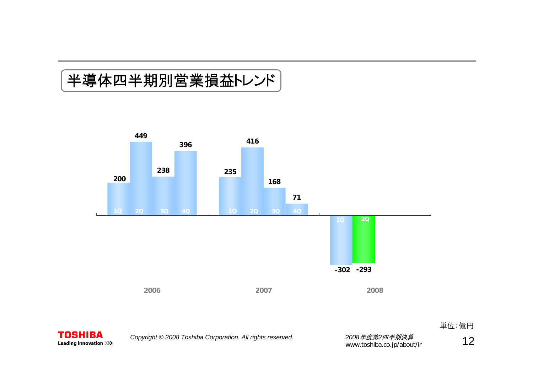# 半導体四半期別営業損益トレンド



単位:億円

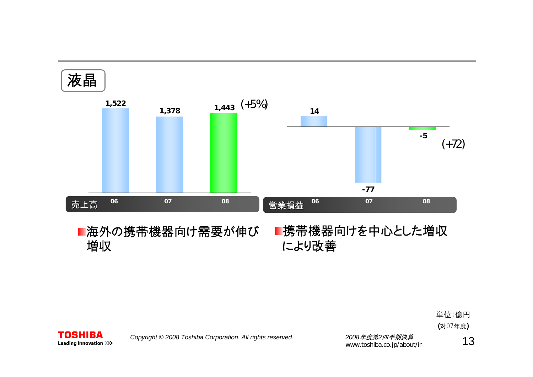





**TOSHIBA** 

2008*年度第*2*四半期決算*<br>www.toshiba.co.jp/about/ir **1 3**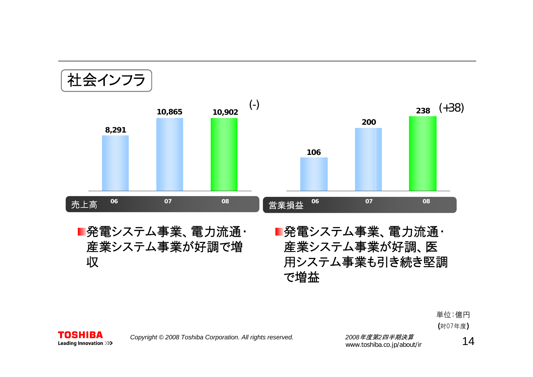社会インフラ



#### ■発電システム事業、電力流通・ 産業システム事業が好調で増 収

■発電システム事業、電力流通・ 産業システム事業が好調、医 用システム事業も引き続き堅調 で増益

> 単位:億円 (対07年度)



*Copyright © <sup>2008</sup> Toshiba Corporation. All rights reserved. <sup>2008</sup>*年度第*2*四半期決算

2008*年度第2四千<del>期次昇</del> 14*<br>www.toshiba.co.jp/about/ir 14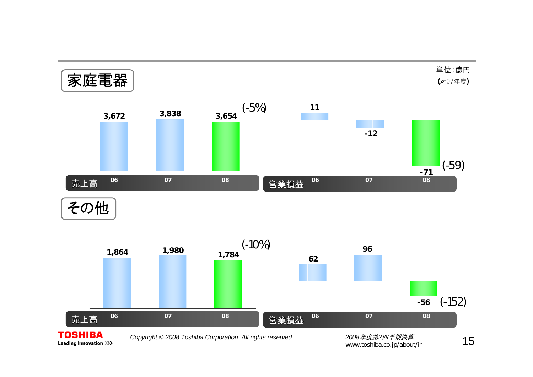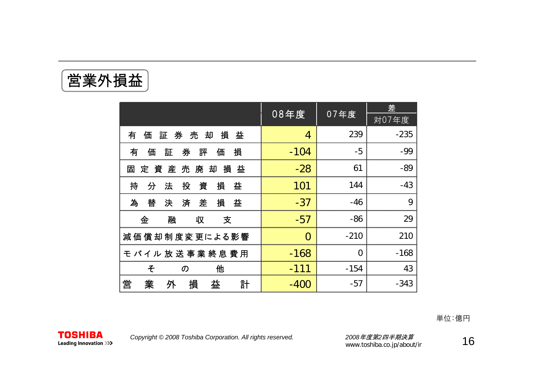営業外損益

|                                      |          |                | 差      |
|--------------------------------------|----------|----------------|--------|
|                                      | 08年度     | 07年度           | 対07年度  |
| 券<br>売<br>損<br>有<br>却<br>益<br>証<br>価 | 4        | 239            | $-235$ |
| 券<br>有<br>証<br>損<br>価<br>評<br>価      | $-104$   | $-5$           | $-99$  |
| 定資産売廃<br>却<br>損<br>益<br>固            | $-28$    | 61             | $-89$  |
| 投<br>資<br>損<br>持<br>法<br>益<br>分      | 101      | 144            | $-43$  |
| 為<br>損<br>替<br>差<br>決<br>済<br>益      | $-37$    | $-46$          | 9      |
| 融<br>金<br>収<br>支                     | $-57$    | -86            | 29     |
| 減価 償 却 制 度 変 更による影響                  | $\Omega$ | $-210$         | 210    |
| モ バイル 放 送 事 業 終 息 費 用                | $-168$   | $\overline{0}$ | $-168$ |
| 他<br>そ<br>の                          | $-111$   | $-154$         | 43     |
| 営<br>損<br>業<br>益<br>外<br>計           | -400     | -57            | $-343$ |

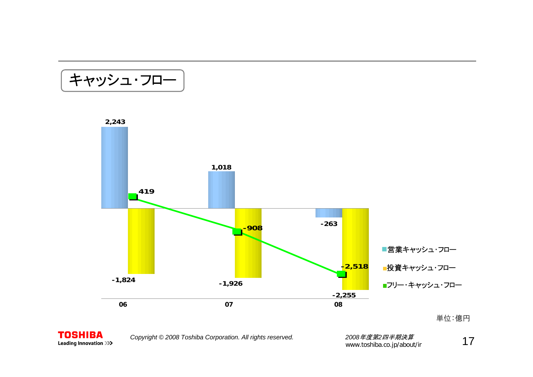キャッシュ・フロー



**TOSHIBA** Leading Innovation >>>

*Copyright © <sup>2008</sup> Toshiba Corporation. All rights reserved. <sup>2008</sup>*年度第*2*四半期決算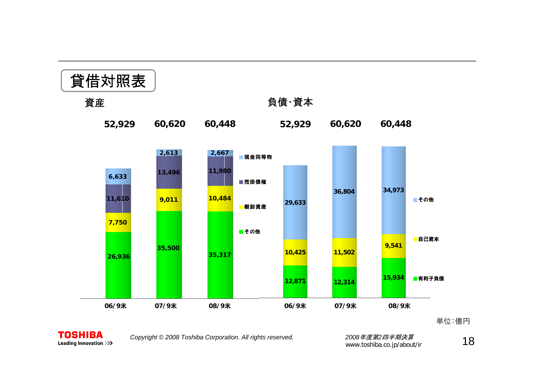



*Copyright © <sup>2008</sup> Toshiba Corporation. All rights reserved. <sup>2008</sup>*年度第*2*四半期決算

2008*年度第*2*四半期決算*<br>www.toshiba.co.jp/about/ir **1 8**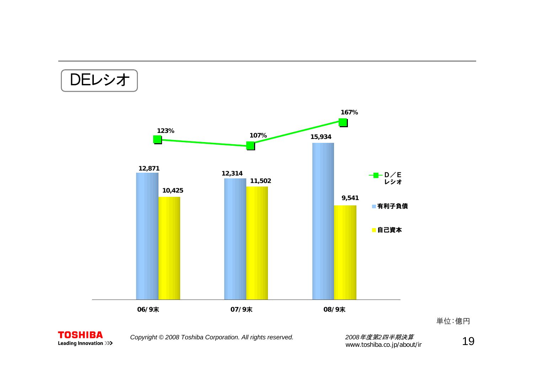DEレシオ





*Copyright © <sup>2008</sup> Toshiba Corporation. All rights reserved. <sup>2008</sup>*年度第*2*四半期決算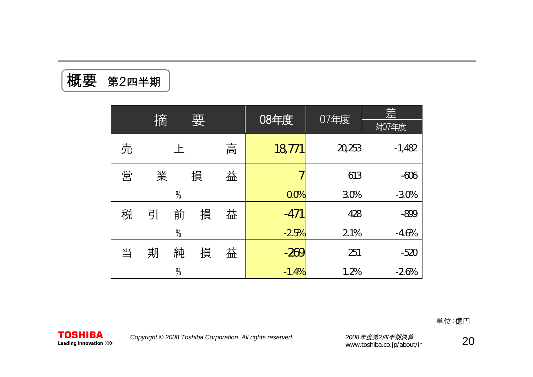概要 第2四半期

|   | 摘 |               |   |   | 08年度    | 07年度   | 差        |
|---|---|---------------|---|---|---------|--------|----------|
|   |   |               | 要 |   |         |        | 対07年度    |
| 売 |   |               |   | 高 | 18,771  | 20,253 | $-1,482$ |
| 営 | 業 |               | 損 | 益 |         | 613    | $-606$   |
|   |   | $\frac{0}{0}$ |   |   | 0.0%    | 3.0%   | $-3.0%$  |
| 税 | 引 | 前             | 損 | 益 | $-471$  | 428    | $-899$   |
|   |   | $\frac{0}{0}$ |   |   | $-2.5%$ | 2.1%   | $-4.6%$  |
| 当 | 期 | 純             | 損 | 益 | $-269$  | 251    | $-520$   |
|   |   | $\frac{0}{0}$ |   |   | $-1.4%$ | 1.2%   | $-2.6%$  |

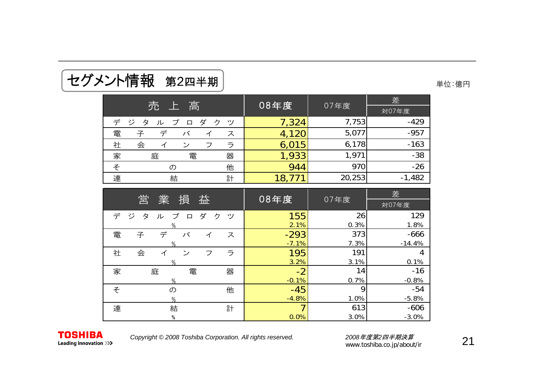| セグメント情報 第2四半期 | 単位:億円 |
|---------------|-------|
|---------------|-------|

|  |  | 単位:億円 |
|--|--|-------|
|--|--|-------|

|                                                  | 08年度  |        | 差        |
|--------------------------------------------------|-------|--------|----------|
| 売<br>高<br><u>: 上</u>                             |       | 07年度   | 対07年度    |
| デ<br>゠ジ<br>ダ<br>プ<br>ク<br>タ<br>ッソ<br>$\Box$<br>ル | 7,324 | 7,753  | $-429$   |
| 電<br>子<br>バ<br>ス                                 | 4,120 | 5,077  | $-957$   |
| 会<br>社<br>ラ<br>ン<br>フ                            | 6,015 | 6,178  | $-163$   |
| 電<br>器<br>家<br>庭                                 | 1,933 | 1,971  | $-38$    |
| 他<br>そ<br>$\sigma$                               | 944   | 970    | $-26$    |
| 連<br>計<br>結                                      | 18    | 20,253 | $-1,482$ |

| 営                                              | 08年度    |      | 差        |
|------------------------------------------------|---------|------|----------|
| 業<br>損<br>益                                    |         | 07年度 | 対07年度    |
| ダ<br>デ<br>ジ<br>プ<br>ク<br>タ<br>ッ<br>$\Box$<br>ル | 155     | 26   | 129      |
| %                                              | 2.1%    | 0.3% | 1.8%     |
| 電<br>子<br>デ<br>バ<br>ス<br>イ                     | $-293$  | 373  | $-666$   |
| %                                              | $-7.1%$ | 7.3% | $-14.4%$ |
| 会<br>社<br>ラ<br>ゝ<br>フ<br>イ                     | 195     | 191  | 4        |
| %                                              | 3.2%    | 3.1% | 0.1%     |
| 家<br>庭<br>電<br>器                               | $-2$    | 14   | $-16$    |
| $\%$                                           | $-0.1%$ | 0.7% | $-0.8%$  |
| そ<br>他<br>の                                    | $-45$   | 9    | $-54$    |
| $\%$                                           | $-4.8%$ | 1.0% | $-5.8%$  |
| 連<br>結<br>計                                    |         | 613  | $-606$   |
| $\%$                                           | 0.0%    | 3.0% | $-3.0%$  |

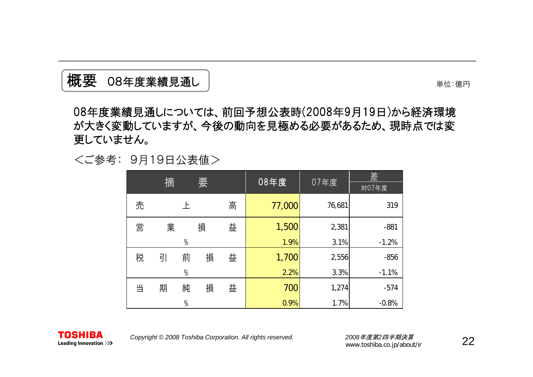

単位:億円

08年度業績見通しについては、前回予想公表時(2008年9月19日)から経済環境 が大きく変動していますが、今後の動向を見極める必要があるため、現時点では変 更していません。

<ご参考: 9月19日公表値>

|   | 摘 |               | 要 |   | 08年度   | 07年度   | 差<br>対07年度 |
|---|---|---------------|---|---|--------|--------|------------|
|   |   |               |   |   |        |        |            |
| 売 |   | 上             |   | 高 | 77,000 | 76,681 | 319        |
| 営 | 業 |               | 損 | 益 | 1,500  | 2,381  | $-881$     |
|   |   | $\%$          |   |   | 1.9%   | 3.1%   | $-1.2%$    |
| 税 | 引 | 前             | 損 | 益 | 1,700  | 2,556  | $-856$     |
|   |   | $\%$          |   |   | 2.2%   | 3.3%   | $-1.1%$    |
| 当 | 期 | 純             | 損 | 益 | 700    | 1,274  | $-574$     |
|   |   | $\frac{0}{0}$ |   |   | 0.9%   | 1.7%   | $-0.8%$    |

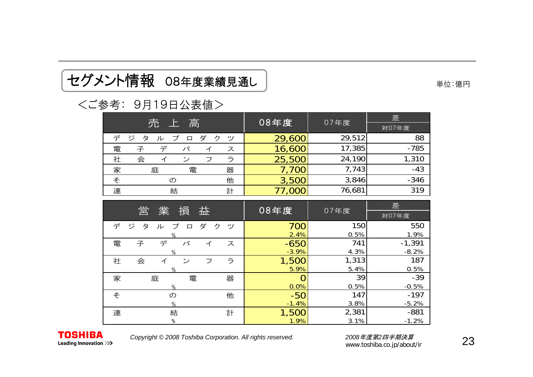## セグメント情報 08年度業績見通し | インディングメント情報 08年度業績見通し |

#### <ご参考: 9月19日公表値>

|                                                 | 08年度           | 07年度   | 差        |
|-------------------------------------------------|----------------|--------|----------|
| 売上高                                             |                |        | 対07年度    |
| ジ<br>デ<br>ダ<br>ク<br>タ<br>ツ<br>プ<br>ル<br>$\Box$  | 29,600         | 29,512 | 88       |
| デ<br>電<br>子<br>バ<br>ス<br>イ                      | 16,600         | 17,385 | $-785$   |
| ラ<br>社<br>会<br>$\overline{v}$<br>フ<br>イ         | 25,500         | 24,190 | 1,310    |
| 器<br>家<br>庭<br>電                                | 7,700          | 7,743  | $-43$    |
| 他<br>そ<br>$\sigma$                              | 3,500          | 3,846  | $-346$   |
| 連<br>計<br>結                                     | 77,000         | 76,681 | 319      |
|                                                 |                |        | 差        |
| 営<br>業<br>損<br>益                                | 08年度           | 07年度   |          |
|                                                 |                |        | 対07年度    |
| デ<br>ダ<br>ジ<br>タ<br>ク<br>プ<br>ッソ<br>ル<br>$\Box$ | 700            | 150    | 550      |
| $\%$                                            | 2.4%           | 0.5%   | 1.9%     |
| デ<br>バ<br>電<br>子<br>ス<br>イ                      | $-650$         | 741    | $-1,391$ |
| $\%$                                            | $-3.9%$        | 4.3%   | $-8.2%$  |
| ラ<br>社<br>会<br>$\geq$<br>フ<br>イ                 | 1,500          | 1,313  | 187      |
| %                                               | 5.9%           | 5.4%   | 0.5%     |
| 器<br>家<br>電<br>庭                                | $\overline{O}$ | 39     | $-39$    |
| %                                               | 0.0%           | 0.5%   | $-0.5%$  |
| 他<br>そ<br>の                                     | $-50$          | 147    | $-197$   |
| $\%$                                            | $-1.4%$        | 3.8%   | $-5.2%$  |
| 連<br>結<br>計                                     | 1,500          | 2,381  | $-881$   |
| $\%$                                            | 1.9%           | 3.1%   | $-1.2%$  |